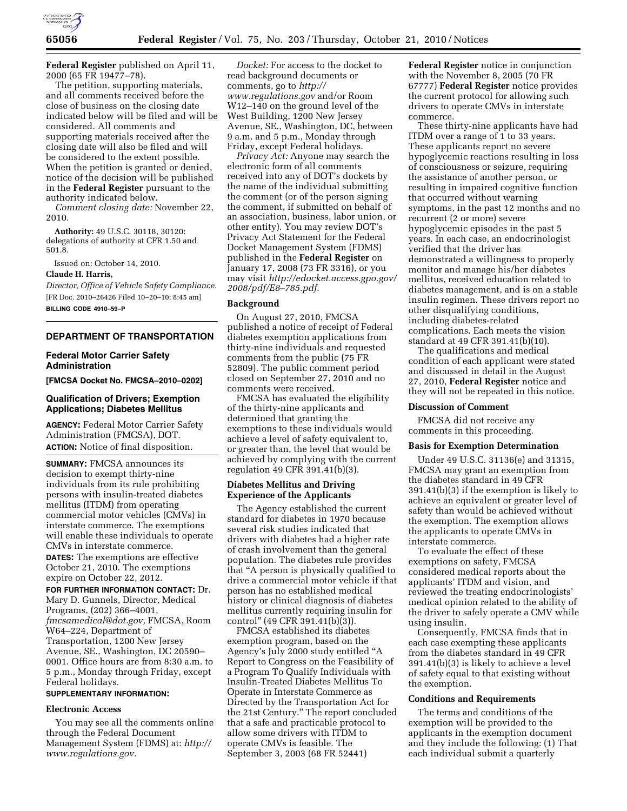

**Federal Register** published on April 11, 2000 (65 FR 19477–78).

The petition, supporting materials, and all comments received before the close of business on the closing date indicated below will be filed and will be considered. All comments and supporting materials received after the closing date will also be filed and will be considered to the extent possible. When the petition is granted or denied, notice of the decision will be published in the **Federal Register** pursuant to the authority indicated below.

*Comment closing date:* November 22, 2010.

**Authority:** 49 U.S.C. 30118, 30120: delegations of authority at CFR 1.50 and 501.8.

Issued on: October 14, 2010.

# **Claude H. Harris,**

*Director, Office of Vehicle Safety Compliance.*  [FR Doc. 2010–26426 Filed 10–20–10; 8:45 am] **BILLING CODE 4910–59–P** 

# **DEPARTMENT OF TRANSPORTATION**

### **Federal Motor Carrier Safety Administration**

**[FMCSA Docket No. FMCSA–2010–0202]** 

# **Qualification of Drivers; Exemption Applications; Diabetes Mellitus**

**AGENCY:** Federal Motor Carrier Safety Administration (FMCSA), DOT. **ACTION:** Notice of final disposition.

**SUMMARY:** FMCSA announces its decision to exempt thirty-nine individuals from its rule prohibiting persons with insulin-treated diabetes mellitus (ITDM) from operating commercial motor vehicles (CMVs) in interstate commerce. The exemptions will enable these individuals to operate CMVs in interstate commerce.

**DATES:** The exemptions are effective October 21, 2010. The exemptions expire on October 22, 2012.

**FOR FURTHER INFORMATION CONTACT:** Dr. Mary D. Gunnels, Director, Medical Programs, (202) 366–4001, *[fmcsamedical@dot.gov,](mailto:fmcsamedical@dot.gov)* FMCSA, Room W64–224, Department of Transportation, 1200 New Jersey Avenue, SE., Washington, DC 20590– 0001. Office hours are from 8:30 a.m. to 5 p.m., Monday through Friday, except Federal holidays.

# **SUPPLEMENTARY INFORMATION:**

### **Electronic Access**

You may see all the comments online through the Federal Document Management System (FDMS) at: *[http://](http://www.regulations.gov) [www.regulations.gov.](http://www.regulations.gov)* 

*Docket:* For access to the docket to read background documents or comments, go to *[http://](http://www.regulations.gov) [www.regulations.gov](http://www.regulations.gov)* and/or Room W12–140 on the ground level of the West Building, 1200 New Jersey Avenue, SE., Washington, DC, between 9 a.m. and 5 p.m., Monday through Friday, except Federal holidays.

*Privacy Act:* Anyone may search the electronic form of all comments received into any of DOT's dockets by the name of the individual submitting the comment (or of the person signing the comment, if submitted on behalf of an association, business, labor union, or other entity). You may review DOT's Privacy Act Statement for the Federal Docket Management System (FDMS) published in the **Federal Register** on January 17, 2008 (73 FR 3316), or you may visit *[http://edocket.access.gpo.gov/](http://edocket.access.gpo.gov/2008/pdf/E8-785.pdf)  [2008/pdf/E8–785.pdf.](http://edocket.access.gpo.gov/2008/pdf/E8-785.pdf)* 

### **Background**

On August 27, 2010, FMCSA published a notice of receipt of Federal diabetes exemption applications from thirty-nine individuals and requested comments from the public (75 FR 52809). The public comment period closed on September 27, 2010 and no comments were received.

FMCSA has evaluated the eligibility of the thirty-nine applicants and determined that granting the exemptions to these individuals would achieve a level of safety equivalent to, or greater than, the level that would be achieved by complying with the current regulation 49 CFR 391.41(b)(3).

# **Diabetes Mellitus and Driving Experience of the Applicants**

The Agency established the current standard for diabetes in 1970 because several risk studies indicated that drivers with diabetes had a higher rate of crash involvement than the general population. The diabetes rule provides that ''A person is physically qualified to drive a commercial motor vehicle if that person has no established medical history or clinical diagnosis of diabetes mellitus currently requiring insulin for control'' (49 CFR 391.41(b)(3)).

FMCSA established its diabetes exemption program, based on the Agency's July 2000 study entitled ''A Report to Congress on the Feasibility of a Program To Qualify Individuals with Insulin-Treated Diabetes Mellitus To Operate in Interstate Commerce as Directed by the Transportation Act for the 21st Century.'' The report concluded that a safe and practicable protocol to allow some drivers with ITDM to operate CMVs is feasible. The September 3, 2003 (68 FR 52441)

**Federal Register** notice in conjunction with the November 8, 2005 (70 FR 67777) **Federal Register** notice provides the current protocol for allowing such drivers to operate CMVs in interstate commerce.

These thirty-nine applicants have had ITDM over a range of 1 to 33 years. These applicants report no severe hypoglycemic reactions resulting in loss of consciousness or seizure, requiring the assistance of another person, or resulting in impaired cognitive function that occurred without warning symptoms, in the past 12 months and no recurrent (2 or more) severe hypoglycemic episodes in the past 5 years. In each case, an endocrinologist verified that the driver has demonstrated a willingness to properly monitor and manage his/her diabetes mellitus, received education related to diabetes management, and is on a stable insulin regimen. These drivers report no other disqualifying conditions, including diabetes-related complications. Each meets the vision standard at 49 CFR 391.41(b)(10).

The qualifications and medical condition of each applicant were stated and discussed in detail in the August 27, 2010, **Federal Register** notice and they will not be repeated in this notice.

#### **Discussion of Comment**

FMCSA did not receive any comments in this proceeding.

### **Basis for Exemption Determination**

Under 49 U.S.C. 31136(e) and 31315, FMCSA may grant an exemption from the diabetes standard in 49 CFR 391.41(b)(3) if the exemption is likely to achieve an equivalent or greater level of safety than would be achieved without the exemption. The exemption allows the applicants to operate CMVs in interstate commerce.

To evaluate the effect of these exemptions on safety, FMCSA considered medical reports about the applicants' ITDM and vision, and reviewed the treating endocrinologists' medical opinion related to the ability of the driver to safely operate a CMV while using insulin.

Consequently, FMCSA finds that in each case exempting these applicants from the diabetes standard in 49 CFR 391.41(b)(3) is likely to achieve a level of safety equal to that existing without the exemption.

#### **Conditions and Requirements**

The terms and conditions of the exemption will be provided to the applicants in the exemption document and they include the following: (1) That each individual submit a quarterly